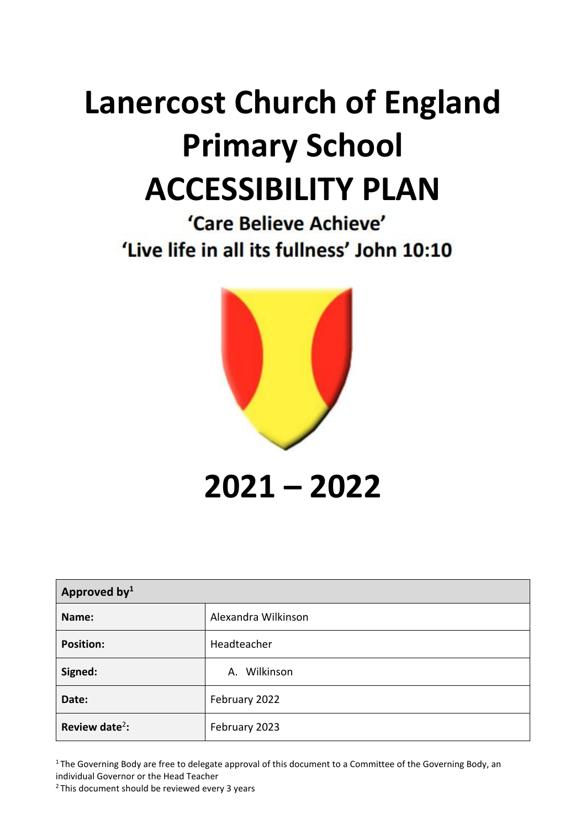# **Lanercost Church of England Primary School ACCESSIBILITY PLAN**

'Care Believe Achieve' 'Live life in all its fullness' John 10:10



**2021 – 2022**

| Approved by <sup>1</sup>   |                     |  |
|----------------------------|---------------------|--|
| Name:                      | Alexandra Wilkinson |  |
| <b>Position:</b>           | Headteacher         |  |
| Signed:                    | A. Wilkinson        |  |
| Date:                      | February 2022       |  |
| Review date <sup>2</sup> : | February 2023       |  |

<sup>1</sup>The Governing Body are free to delegate approval of this document to a Committee of the Governing Body, an individual Governor or the Head Teacher

<sup>2</sup>This document should be reviewed every 3 years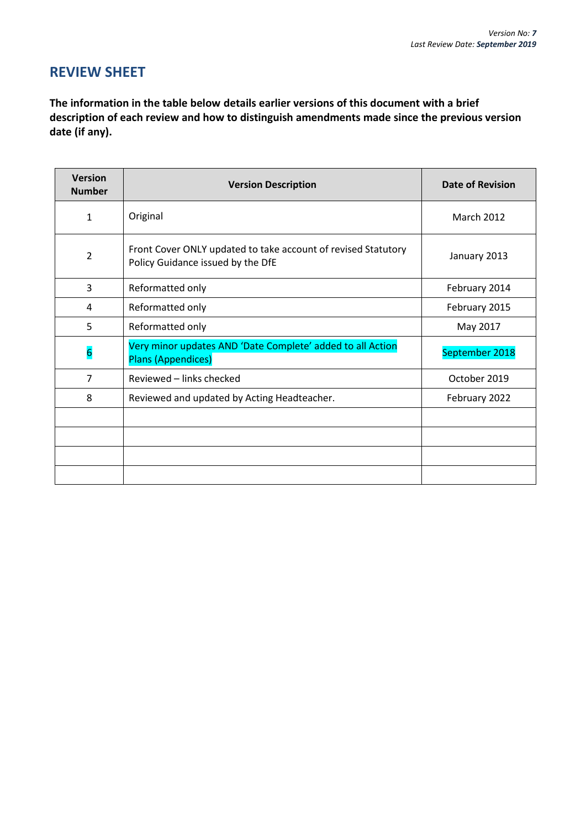# **REVIEW SHEET**

**The information in the table below details earlier versions of this document with a brief description of each review and how to distinguish amendments made since the previous version date (if any).**

| <b>Version</b><br><b>Number</b> | <b>Version Description</b>                                                                         | <b>Date of Revision</b> |
|---------------------------------|----------------------------------------------------------------------------------------------------|-------------------------|
| 1                               | Original                                                                                           | <b>March 2012</b>       |
| $\overline{2}$                  | Front Cover ONLY updated to take account of revised Statutory<br>Policy Guidance issued by the DfE | January 2013            |
| 3                               | Reformatted only                                                                                   | February 2014           |
| 4                               | Reformatted only                                                                                   | February 2015           |
| 5                               | Reformatted only                                                                                   | May 2017                |
| $6\overline{6}$                 | Very minor updates AND 'Date Complete' added to all Action<br>Plans (Appendices)                   | September 2018          |
| $\overline{7}$                  | Reviewed – links checked                                                                           | October 2019            |
| 8                               | Reviewed and updated by Acting Headteacher.                                                        | February 2022           |
|                                 |                                                                                                    |                         |
|                                 |                                                                                                    |                         |
|                                 |                                                                                                    |                         |
|                                 |                                                                                                    |                         |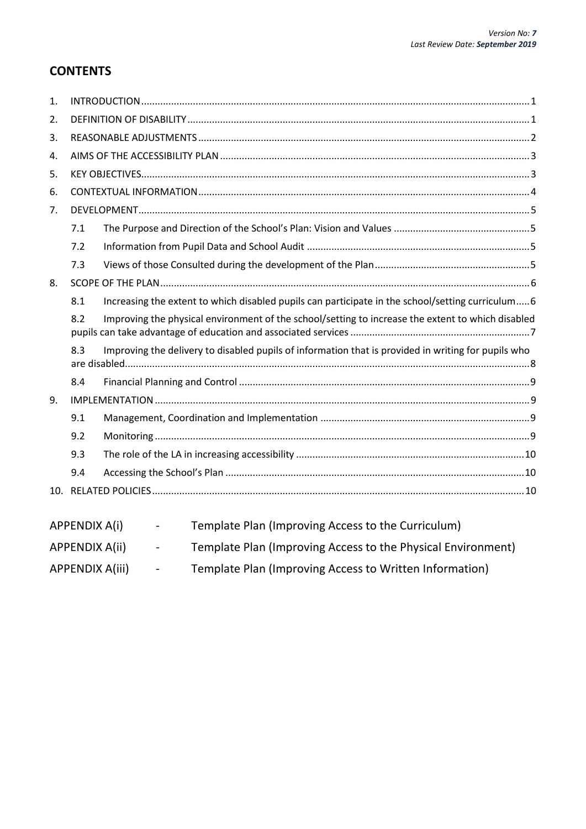# **CONTENTS**

| 1. |                      |                                                                                                     |  |  |  |
|----|----------------------|-----------------------------------------------------------------------------------------------------|--|--|--|
| 2. |                      |                                                                                                     |  |  |  |
| 3. |                      |                                                                                                     |  |  |  |
| 4. |                      |                                                                                                     |  |  |  |
| 5. |                      |                                                                                                     |  |  |  |
| 6. |                      |                                                                                                     |  |  |  |
| 7. |                      |                                                                                                     |  |  |  |
|    | 7.1                  |                                                                                                     |  |  |  |
|    | 7.2                  |                                                                                                     |  |  |  |
|    | 7.3                  |                                                                                                     |  |  |  |
| 8. |                      |                                                                                                     |  |  |  |
|    | 8.1                  | Increasing the extent to which disabled pupils can participate in the school/setting curriculum 6   |  |  |  |
|    | 8.2                  | Improving the physical environment of the school/setting to increase the extent to which disabled   |  |  |  |
|    | 8.3                  | Improving the delivery to disabled pupils of information that is provided in writing for pupils who |  |  |  |
|    | 8.4                  |                                                                                                     |  |  |  |
| 9. |                      |                                                                                                     |  |  |  |
|    | 9.1                  |                                                                                                     |  |  |  |
|    | 9.2                  |                                                                                                     |  |  |  |
|    | 9.3                  |                                                                                                     |  |  |  |
|    | 9.4                  |                                                                                                     |  |  |  |
|    |                      |                                                                                                     |  |  |  |
|    | <b>APPENDIX A(i)</b> | Template Plan (Improving Access to the Curriculum)                                                  |  |  |  |

| APPENDIX A(ii) | $\overline{\phantom{0}}$ | Template Plan (Improving Access to the Physical Environment) |
|----------------|--------------------------|--------------------------------------------------------------|
|                |                          |                                                              |

APPENDIX A(iii) - Template Plan (Improving Access to Written Information)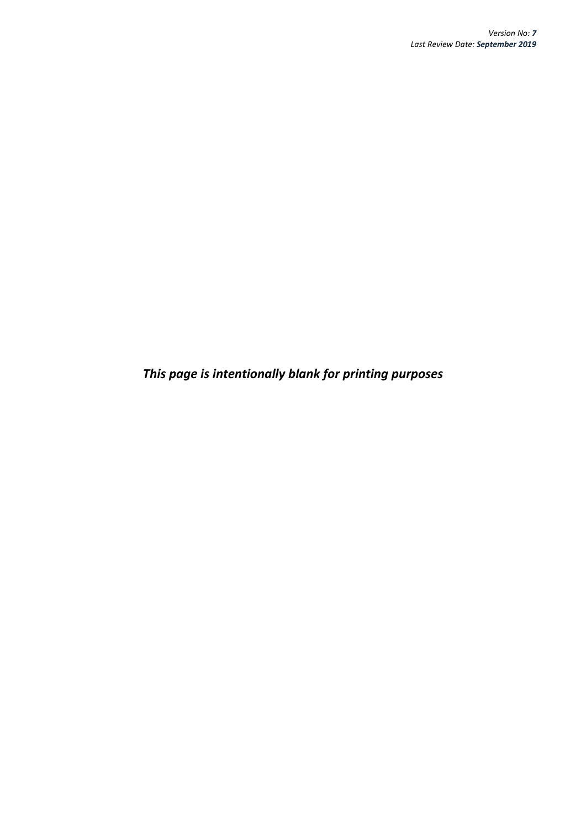*This page is intentionally blank for printing purposes*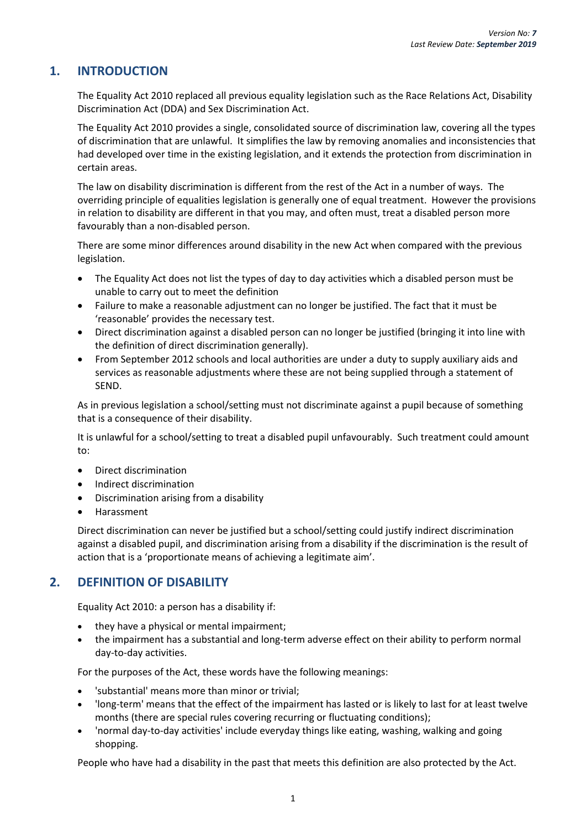# <span id="page-4-0"></span>**1. INTRODUCTION**

The Equality Act 2010 replaced all previous equality legislation such as the Race Relations Act, Disability Discrimination Act (DDA) and Sex Discrimination Act.

The Equality Act 2010 provides a single, consolidated source of discrimination law, covering all the types of discrimination that are unlawful. It simplifies the law by removing anomalies and inconsistencies that had developed over time in the existing legislation, and it extends the protection from discrimination in certain areas.

The law on disability discrimination is different from the rest of the Act in a number of ways. The overriding principle of equalities legislation is generally one of equal treatment. However the provisions in relation to disability are different in that you may, and often must, treat a disabled person more favourably than a non-disabled person.

There are some minor differences around disability in the new Act when compared with the previous legislation.

- The Equality Act does not list the types of day to day activities which a disabled person must be unable to carry out to meet the definition
- Failure to make a reasonable adjustment can no longer be justified. The fact that it must be 'reasonable' provides the necessary test.
- Direct discrimination against a disabled person can no longer be justified (bringing it into line with the definition of direct discrimination generally).
- From September 2012 schools and local authorities are under a duty to supply auxiliary aids and services as reasonable adjustments where these are not being supplied through a statement of SEND.

As in previous legislation a school/setting must not discriminate against a pupil because of something that is a consequence of their disability.

It is unlawful for a school/setting to treat a disabled pupil unfavourably. Such treatment could amount to:

- Direct discrimination
- Indirect discrimination
- Discrimination arising from a disability
- Harassment

Direct discrimination can never be justified but a school/setting could justify indirect discrimination against a disabled pupil, and discrimination arising from a disability if the discrimination is the result of action that is a 'proportionate means of achieving a legitimate aim'.

# <span id="page-4-1"></span>**2. DEFINITION OF DISABILITY**

Equality Act 2010: a person has a disability if:

- they have a physical or mental impairment;
- the impairment has a substantial and long-term adverse effect on their ability to perform normal day-to-day activities.

For the purposes of the Act, these words have the following meanings:

- 'substantial' means more than minor or trivial;
- 'long-term' means that the effect of the impairment has lasted or is likely to last for at least twelve months (there are special rules covering recurring or fluctuating conditions);
- 'normal day-to-day activities' include everyday things like eating, washing, walking and going shopping.

People who have had a disability in the past that meets this definition are also protected by the Act.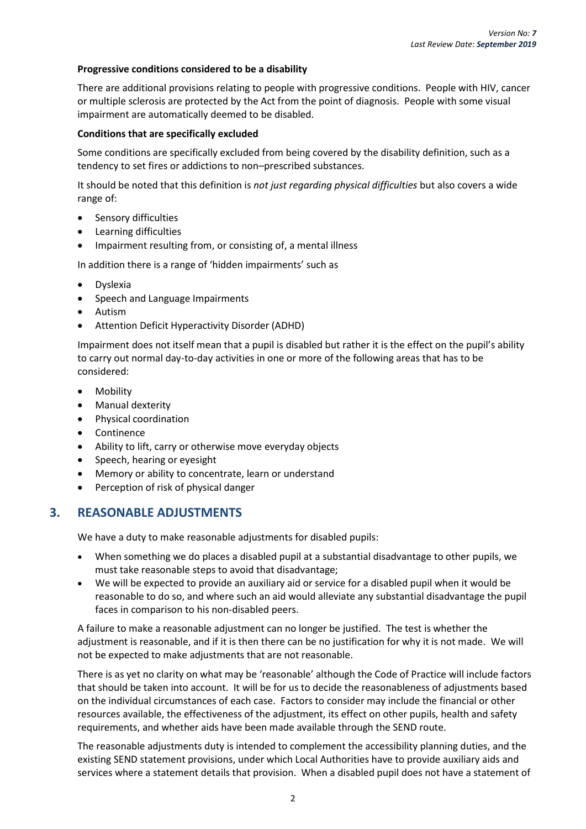#### **Progressive conditions considered to be a disability**

There are additional provisions relating to people with progressive conditions. People with HIV, cancer or multiple sclerosis are protected by the Act from the point of diagnosis. People with some visual impairment are automatically deemed to be disabled.

#### **Conditions that are specifically excluded**

Some conditions are specifically excluded from being covered by the disability definition, such as a tendency to set fires or addictions to non–prescribed substances.

It should be noted that this definition is *not just regarding physical difficulties* but also covers a wide range of:

- Sensory difficulties
- Learning difficulties
- Impairment resulting from, or consisting of, a mental illness

In addition there is a range of 'hidden impairments' such as

- **Dyslexia**
- Speech and Language Impairments
- Autism
- Attention Deficit Hyperactivity Disorder (ADHD)

Impairment does not itself mean that a pupil is disabled but rather it is the effect on the pupil's ability to carry out normal day-to-day activities in one or more of the following areas that has to be considered:

- Mobility
- Manual dexterity
- Physical coordination
- Continence
- Ability to lift, carry or otherwise move everyday objects
- Speech, hearing or eyesight
- Memory or ability to concentrate, learn or understand
- Perception of risk of physical danger

## <span id="page-5-0"></span>**3. REASONABLE ADJUSTMENTS**

We have a duty to make reasonable adjustments for disabled pupils:

- When something we do places a disabled pupil at a substantial disadvantage to other pupils, we must take reasonable steps to avoid that disadvantage;
- We will be expected to provide an auxiliary aid or service for a disabled pupil when it would be reasonable to do so, and where such an aid would alleviate any substantial disadvantage the pupil faces in comparison to his non-disabled peers.

A failure to make a reasonable adjustment can no longer be justified. The test is whether the adjustment is reasonable, and if it is then there can be no justification for why it is not made. We will not be expected to make adjustments that are not reasonable.

There is as yet no clarity on what may be 'reasonable' although the Code of Practice will include factors that should be taken into account. It will be for us to decide the reasonableness of adjustments based on the individual circumstances of each case. Factors to consider may include the financial or other resources available, the effectiveness of the adjustment, its effect on other pupils, health and safety requirements, and whether aids have been made available through the SEND route.

The reasonable adjustments duty is intended to complement the accessibility planning duties, and the existing SEND statement provisions, under which Local Authorities have to provide auxiliary aids and services where a statement details that provision. When a disabled pupil does not have a statement of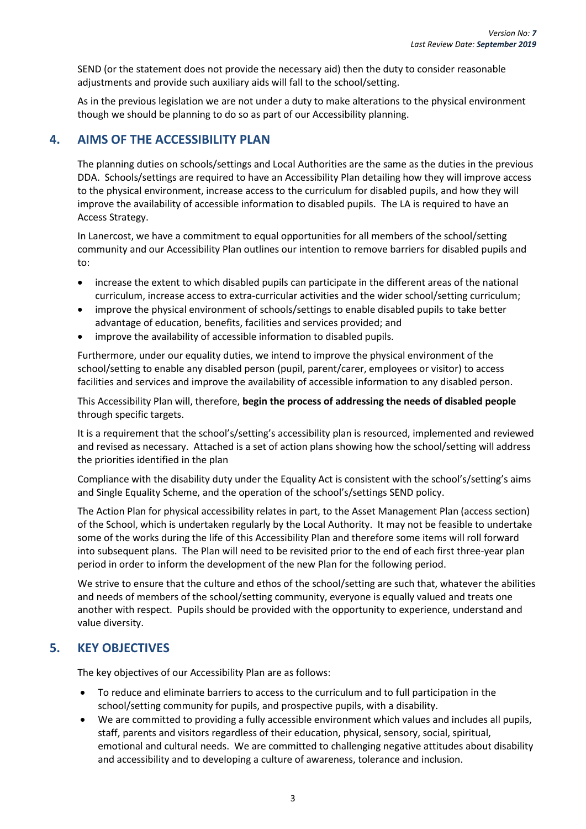SEND (or the statement does not provide the necessary aid) then the duty to consider reasonable adjustments and provide such auxiliary aids will fall to the school/setting.

As in the previous legislation we are not under a duty to make alterations to the physical environment though we should be planning to do so as part of our Accessibility planning.

## <span id="page-6-0"></span>**4. AIMS OF THE ACCESSIBILITY PLAN**

The planning duties on schools/settings and Local Authorities are the same as the duties in the previous DDA. Schools/settings are required to have an Accessibility Plan detailing how they will improve access to the physical environment, increase access to the curriculum for disabled pupils, and how they will improve the availability of accessible information to disabled pupils. The LA is required to have an Access Strategy.

In Lanercost, we have a commitment to equal opportunities for all members of the school/setting community and our Accessibility Plan outlines our intention to remove barriers for disabled pupils and to:

- increase the extent to which disabled pupils can participate in the different areas of the national curriculum, increase access to extra-curricular activities and the wider school/setting curriculum;
- improve the physical environment of schools/settings to enable disabled pupils to take better advantage of education, benefits, facilities and services provided; and
- improve the availability of accessible information to disabled pupils.

Furthermore, under our equality duties, we intend to improve the physical environment of the school/setting to enable any disabled person (pupil, parent/carer, employees or visitor) to access facilities and services and improve the availability of accessible information to any disabled person.

This Accessibility Plan will, therefore, **begin the process of addressing the needs of disabled people**  through specific targets.

It is a requirement that the school's/setting's accessibility plan is resourced, implemented and reviewed and revised as necessary. Attached is a set of action plans showing how the school/setting will address the priorities identified in the plan

Compliance with the disability duty under the Equality Act is consistent with the school's/setting's aims and Single Equality Scheme, and the operation of the school's/settings SEND policy.

The Action Plan for physical accessibility relates in part, to the Asset Management Plan (access section) of the School, which is undertaken regularly by the Local Authority. It may not be feasible to undertake some of the works during the life of this Accessibility Plan and therefore some items will roll forward into subsequent plans. The Plan will need to be revisited prior to the end of each first three-year plan period in order to inform the development of the new Plan for the following period.

We strive to ensure that the culture and ethos of the school/setting are such that, whatever the abilities and needs of members of the school/setting community, everyone is equally valued and treats one another with respect. Pupils should be provided with the opportunity to experience, understand and value diversity.

# <span id="page-6-1"></span>**5. KEY OBJECTIVES**

The key objectives of our Accessibility Plan are as follows:

- To reduce and eliminate barriers to access to the curriculum and to full participation in the school/setting community for pupils, and prospective pupils, with a disability.
- We are committed to providing a fully accessible environment which values and includes all pupils, staff, parents and visitors regardless of their education, physical, sensory, social, spiritual, emotional and cultural needs. We are committed to challenging negative attitudes about disability and accessibility and to developing a culture of awareness, tolerance and inclusion.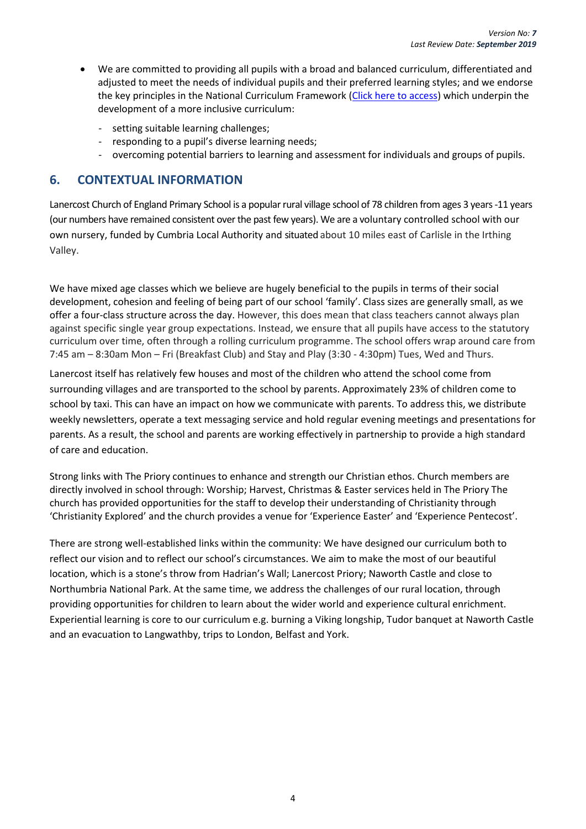- We are committed to providing all pupils with a broad and balanced curriculum, differentiated and adjusted to meet the needs of individual pupils and their preferred learning styles; and we endorse the key principles in the National Curriculum Framework [\(Click here to access\)](http://www.education.gov.uk/schools/teachingandlearning/curriculum) which underpin the development of a more inclusive curriculum:
	- setting suitable learning challenges;
	- responding to a pupil's diverse learning needs;
	- overcoming potential barriers to learning and assessment for individuals and groups of pupils.

## <span id="page-7-0"></span>**6. CONTEXTUAL INFORMATION**

Lanercost Church of England Primary School is a popular rural village school of 78 children from ages 3 years -11 years (our numbers have remained consistent over the past few years). We are a voluntary controlled school with our own nursery, funded by Cumbria Local Authority and situated about 10 miles east of Carlisle in the Irthing Valley.

We have mixed age classes which we believe are hugely beneficial to the pupils in terms of their social development, cohesion and feeling of being part of our school 'family'. Class sizes are generally small, as we offer a four-class structure across the day. However, this does mean that class teachers cannot always plan against specific single year group expectations. Instead, we ensure that all pupils have access to the statutory curriculum over time, often through a rolling curriculum programme. The school offers wrap around care from 7:45 am – 8:30am Mon – Fri (Breakfast Club) and Stay and Play (3:30 - 4:30pm) Tues, Wed and Thurs.

Lanercost itself has relatively few houses and most of the children who attend the school come from surrounding villages and are transported to the school by parents. Approximately 23% of children come to school by taxi. This can have an impact on how we communicate with parents. To address this, we distribute weekly newsletters, operate a text messaging service and hold regular evening meetings and presentations for parents. As a result, the school and parents are working effectively in partnership to provide a high standard of care and education.

Strong links with The Priory continues to enhance and strength our Christian ethos. Church members are directly involved in school through: Worship; Harvest, Christmas & Easter services held in The Priory The church has provided opportunities for the staff to develop their understanding of Christianity through 'Christianity Explored' and the church provides a venue for 'Experience Easter' and 'Experience Pentecost'.

There are strong well-established links within the community: We have designed our curriculum both to reflect our vision and to reflect our school's circumstances. We aim to make the most of our beautiful location, which is a stone's throw from Hadrian's Wall; Lanercost Priory; Naworth Castle and close to Northumbria National Park. At the same time, we address the challenges of our rural location, through providing opportunities for children to learn about the wider world and experience cultural enrichment. Experiential learning is core to our curriculum e.g. burning a Viking longship, Tudor banquet at Naworth Castle and an evacuation to Langwathby, trips to London, Belfast and York.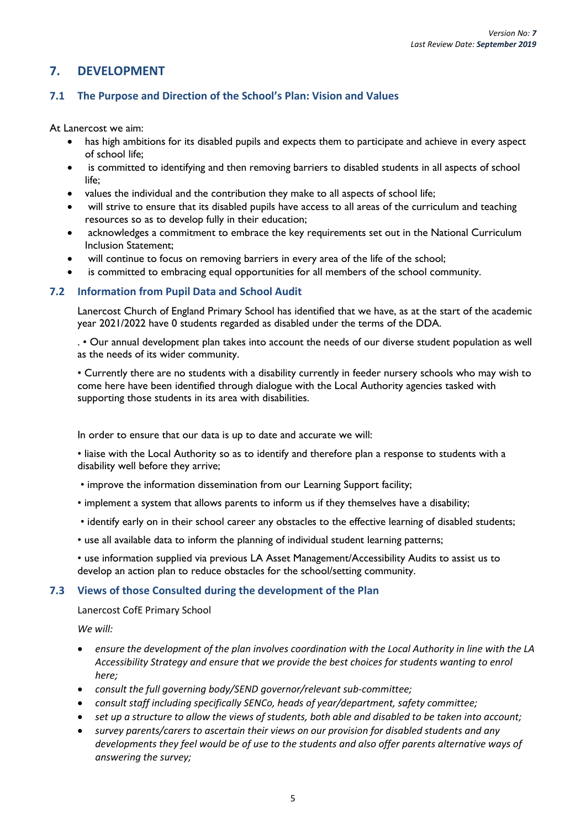# <span id="page-8-0"></span>**7. DEVELOPMENT**

## <span id="page-8-1"></span>**7.1 The Purpose and Direction of the School's Plan: Vision and Values**

At Lanercost we aim:

- has high ambitions for its disabled pupils and expects them to participate and achieve in every aspect of school life;
- is committed to identifying and then removing barriers to disabled students in all aspects of school life;
- values the individual and the contribution they make to all aspects of school life;
- will strive to ensure that its disabled pupils have access to all areas of the curriculum and teaching resources so as to develop fully in their education;
- acknowledges a commitment to embrace the key requirements set out in the National Curriculum Inclusion Statement;
- will continue to focus on removing barriers in every area of the life of the school;
- is committed to embracing equal opportunities for all members of the school community.

#### <span id="page-8-2"></span>**7.2 Information from Pupil Data and School Audit**

Lanercost Church of England Primary School has identified that we have, as at the start of the academic year 2021/2022 have 0 students regarded as disabled under the terms of the DDA.

. • Our annual development plan takes into account the needs of our diverse student population as well as the needs of its wider community.

• Currently there are no students with a disability currently in feeder nursery schools who may wish to come here have been identified through dialogue with the Local Authority agencies tasked with supporting those students in its area with disabilities.

In order to ensure that our data is up to date and accurate we will:

• liaise with the Local Authority so as to identify and therefore plan a response to students with a disability well before they arrive;

- improve the information dissemination from our Learning Support facility;
- implement a system that allows parents to inform us if they themselves have a disability;
- identify early on in their school career any obstacles to the effective learning of disabled students;
- use all available data to inform the planning of individual student learning patterns;
- use information supplied via previous LA Asset Management/Accessibility Audits to assist us to develop an action plan to reduce obstacles for the school/setting community.

#### <span id="page-8-3"></span>**7.3 Views of those Consulted during the development of the Plan**

Lanercost CofE Primary School

*We will:* 

- *ensure the development of the plan involves coordination with the Local Authority in line with the LA Accessibility Strategy and ensure that we provide the best choices for students wanting to enrol here;*
- *consult the full governing body/SEND governor/relevant sub-committee;*
- *consult staff including specifically SENCo, heads of year/department, safety committee;*
- *set up a structure to allow the views of students, both able and disabled to be taken into account;*
- *survey parents/carers to ascertain their views on our provision for disabled students and any developments they feel would be of use to the students and also offer parents alternative ways of answering the survey;*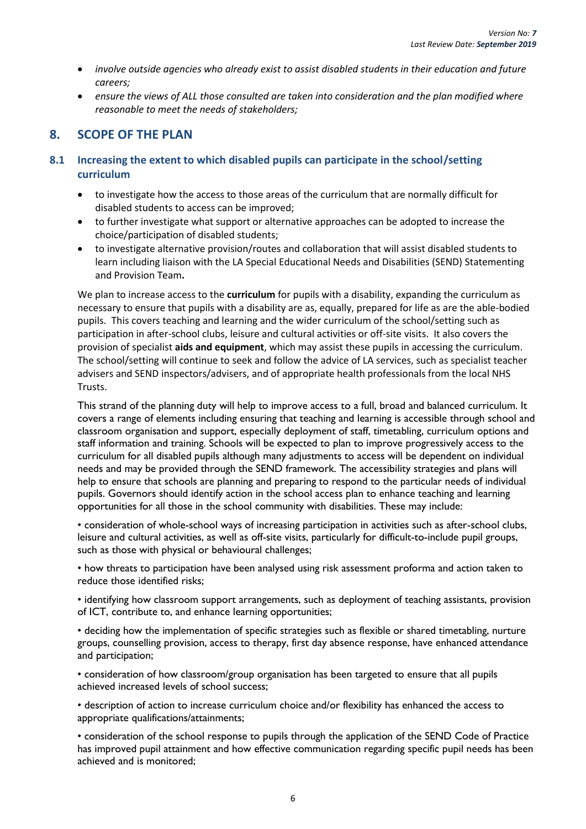- *involve outside agencies who already exist to assist disabled students in their education and future careers;*
- *ensure the views of ALL those consulted are taken into consideration and the plan modified where reasonable to meet the needs of stakeholders;*

# <span id="page-9-0"></span>**8. SCOPE OF THE PLAN**

## <span id="page-9-1"></span>**8.1 Increasing the extent to which disabled pupils can participate in the school/setting curriculum**

- to investigate how the access to those areas of the curriculum that are normally difficult for disabled students to access can be improved;
- to further investigate what support or alternative approaches can be adopted to increase the choice/participation of disabled students;
- to investigate alternative provision/routes and collaboration that will assist disabled students to learn including liaison with the LA Special Educational Needs and Disabilities (SEND) Statementing and Provision Team**.**

We plan to increase access to the **curriculum** for pupils with a disability, expanding the curriculum as necessary to ensure that pupils with a disability are as, equally, prepared for life as are the able-bodied pupils. This covers teaching and learning and the wider curriculum of the school/setting such as participation in after-school clubs, leisure and cultural activities or off-site visits. It also covers the provision of specialist **aids and equipment**, which may assist these pupils in accessing the curriculum. The school/setting will continue to seek and follow the advice of LA services, such as specialist teacher advisers and SEND inspectors/advisers, and of appropriate health professionals from the local NHS Trusts.

This strand of the planning duty will help to improve access to a full, broad and balanced curriculum. It covers a range of elements including ensuring that teaching and learning is accessible through school and classroom organisation and support, especially deployment of staff, timetabling, curriculum options and staff information and training. Schools will be expected to plan to improve progressively access to the curriculum for all disabled pupils although many adjustments to access will be dependent on individual needs and may be provided through the SEND framework. The accessibility strategies and plans will help to ensure that schools are planning and preparing to respond to the particular needs of individual pupils. Governors should identify action in the school access plan to enhance teaching and learning opportunities for all those in the school community with disabilities. These may include:

• consideration of whole-school ways of increasing participation in activities such as after-school clubs, leisure and cultural activities, as well as off-site visits, particularly for difficult-to-include pupil groups, such as those with physical or behavioural challenges;

• how threats to participation have been analysed using risk assessment proforma and action taken to reduce those identified risks;

• identifying how classroom support arrangements, such as deployment of teaching assistants, provision of ICT, contribute to, and enhance learning opportunities;

• deciding how the implementation of specific strategies such as flexible or shared timetabling, nurture groups, counselling provision, access to therapy, first day absence response, have enhanced attendance and participation;

• consideration of how classroom/group organisation has been targeted to ensure that all pupils achieved increased levels of school success;

• description of action to increase curriculum choice and/or flexibility has enhanced the access to appropriate qualifications/attainments;

• consideration of the school response to pupils through the application of the SEND Code of Practice has improved pupil attainment and how effective communication regarding specific pupil needs has been achieved and is monitored;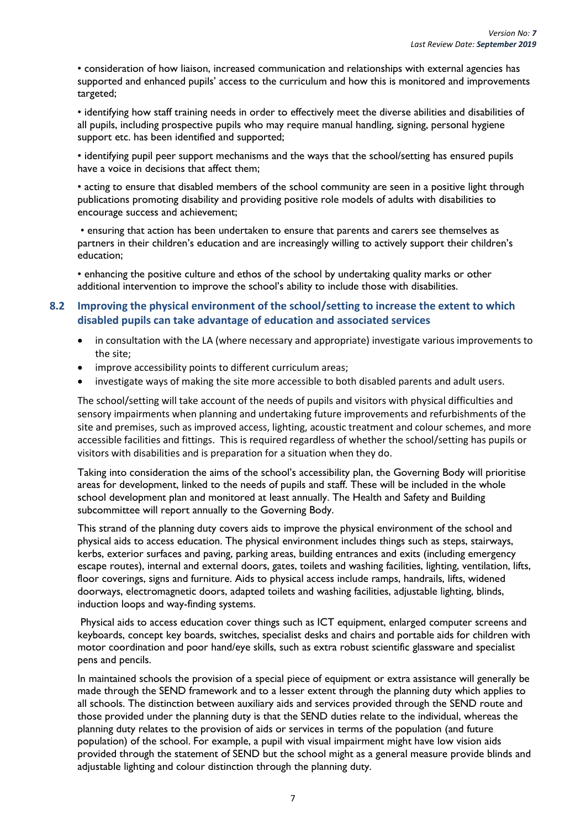• consideration of how liaison, increased communication and relationships with external agencies has supported and enhanced pupils' access to the curriculum and how this is monitored and improvements targeted;

• identifying how staff training needs in order to effectively meet the diverse abilities and disabilities of all pupils, including prospective pupils who may require manual handling, signing, personal hygiene support etc. has been identified and supported;

• identifying pupil peer support mechanisms and the ways that the school/setting has ensured pupils have a voice in decisions that affect them;

• acting to ensure that disabled members of the school community are seen in a positive light through publications promoting disability and providing positive role models of adults with disabilities to encourage success and achievement;

• ensuring that action has been undertaken to ensure that parents and carers see themselves as partners in their children's education and are increasingly willing to actively support their children's education;

• enhancing the positive culture and ethos of the school by undertaking quality marks or other additional intervention to improve the school's ability to include those with disabilities.

### <span id="page-10-0"></span>**8.2 Improving the physical environment of the school/setting to increase the extent to which disabled pupils can take advantage of education and associated services**

- in consultation with the LA (where necessary and appropriate) investigate various improvements to the site;
- improve accessibility points to different curriculum areas;
- investigate ways of making the site more accessible to both disabled parents and adult users.

The school/setting will take account of the needs of pupils and visitors with physical difficulties and sensory impairments when planning and undertaking future improvements and refurbishments of the site and premises, such as improved access, lighting, acoustic treatment and colour schemes, and more accessible facilities and fittings. This is required regardless of whether the school/setting has pupils or visitors with disabilities and is preparation for a situation when they do.

Taking into consideration the aims of the school's accessibility plan, the Governing Body will prioritise areas for development, linked to the needs of pupils and staff. These will be included in the whole school development plan and monitored at least annually. The Health and Safety and Building subcommittee will report annually to the Governing Body.

This strand of the planning duty covers aids to improve the physical environment of the school and physical aids to access education. The physical environment includes things such as steps, stairways, kerbs, exterior surfaces and paving, parking areas, building entrances and exits (including emergency escape routes), internal and external doors, gates, toilets and washing facilities, lighting, ventilation, lifts, floor coverings, signs and furniture. Aids to physical access include ramps, handrails, lifts, widened doorways, electromagnetic doors, adapted toilets and washing facilities, adjustable lighting, blinds, induction loops and way-finding systems.

Physical aids to access education cover things such as ICT equipment, enlarged computer screens and keyboards, concept key boards, switches, specialist desks and chairs and portable aids for children with motor coordination and poor hand/eye skills, such as extra robust scientific glassware and specialist pens and pencils.

In maintained schools the provision of a special piece of equipment or extra assistance will generally be made through the SEND framework and to a lesser extent through the planning duty which applies to all schools. The distinction between auxiliary aids and services provided through the SEND route and those provided under the planning duty is that the SEND duties relate to the individual, whereas the planning duty relates to the provision of aids or services in terms of the population (and future population) of the school. For example, a pupil with visual impairment might have low vision aids provided through the statement of SEND but the school might as a general measure provide blinds and adjustable lighting and colour distinction through the planning duty.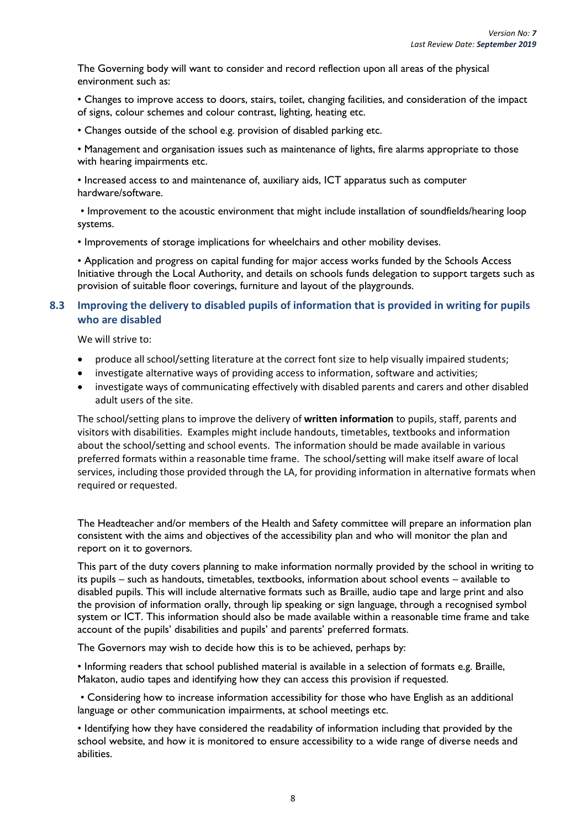The Governing body will want to consider and record reflection upon all areas of the physical environment such as:

• Changes to improve access to doors, stairs, toilet, changing facilities, and consideration of the impact of signs, colour schemes and colour contrast, lighting, heating etc.

• Changes outside of the school e.g. provision of disabled parking etc.

• Management and organisation issues such as maintenance of lights, fire alarms appropriate to those with hearing impairments etc.

• Increased access to and maintenance of, auxiliary aids, ICT apparatus such as computer hardware/software.

• Improvement to the acoustic environment that might include installation of soundfields/hearing loop systems.

• Improvements of storage implications for wheelchairs and other mobility devises.

• Application and progress on capital funding for major access works funded by the Schools Access Initiative through the Local Authority, and details on schools funds delegation to support targets such as provision of suitable floor coverings, furniture and layout of the playgrounds.

## <span id="page-11-0"></span>**8.3 Improving the delivery to disabled pupils of information that is provided in writing for pupils who are disabled**

We will strive to:

- produce all school/setting literature at the correct font size to help visually impaired students;
- investigate alternative ways of providing access to information, software and activities;
- investigate ways of communicating effectively with disabled parents and carers and other disabled adult users of the site.

The school/setting plans to improve the delivery of **written information** to pupils, staff, parents and visitors with disabilities. Examples might include handouts, timetables, textbooks and information about the school/setting and school events. The information should be made available in various preferred formats within a reasonable time frame. The school/setting will make itself aware of local services, including those provided through the LA, for providing information in alternative formats when required or requested.

The Headteacher and/or members of the Health and Safety committee will prepare an information plan consistent with the aims and objectives of the accessibility plan and who will monitor the plan and report on it to governors.

This part of the duty covers planning to make information normally provided by the school in writing to its pupils – such as handouts, timetables, textbooks, information about school events – available to disabled pupils. This will include alternative formats such as Braille, audio tape and large print and also the provision of information orally, through lip speaking or sign language, through a recognised symbol system or ICT. This information should also be made available within a reasonable time frame and take account of the pupils' disabilities and pupils' and parents' preferred formats.

The Governors may wish to decide how this is to be achieved, perhaps by:

• Informing readers that school published material is available in a selection of formats e.g. Braille, Makaton, audio tapes and identifying how they can access this provision if requested.

• Considering how to increase information accessibility for those who have English as an additional language or other communication impairments, at school meetings etc.

• Identifying how they have considered the readability of information including that provided by the school website, and how it is monitored to ensure accessibility to a wide range of diverse needs and abilities.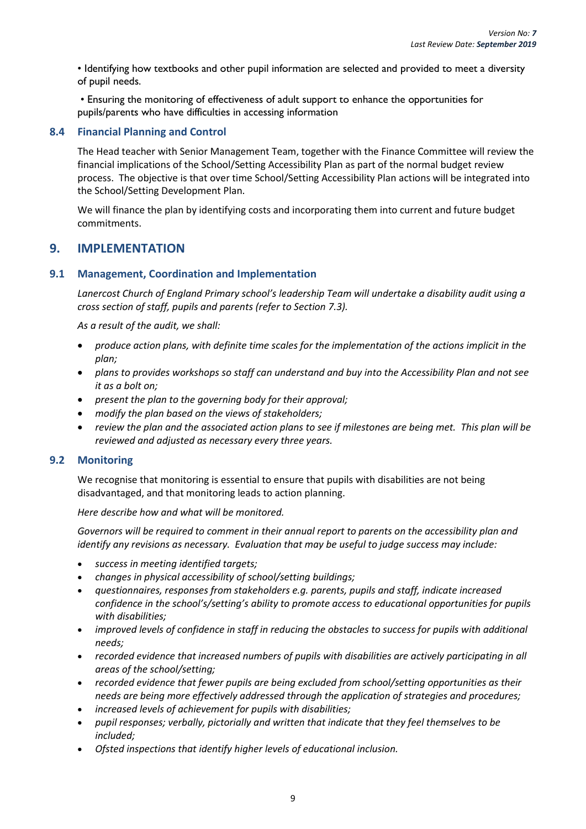• Identifying how textbooks and other pupil information are selected and provided to meet a diversity of pupil needs.

• Ensuring the monitoring of effectiveness of adult support to enhance the opportunities for pupils/parents who have difficulties in accessing information

### <span id="page-12-0"></span>**8.4 Financial Planning and Control**

The Head teacher with Senior Management Team, together with the Finance Committee will review the financial implications of the School/Setting Accessibility Plan as part of the normal budget review process. The objective is that over time School/Setting Accessibility Plan actions will be integrated into the School/Setting Development Plan.

We will finance the plan by identifying costs and incorporating them into current and future budget commitments.

## <span id="page-12-1"></span>**9. IMPLEMENTATION**

#### <span id="page-12-2"></span>**9.1 Management, Coordination and Implementation**

*Lanercost Church of England Primary school's leadership Team will undertake a disability audit using a cross section of staff, pupils and parents (refer to Section 7.3).*

*As a result of the audit, we shall:* 

- *produce action plans, with definite time scales for the implementation of the actions implicit in the plan;*
- *plans to provides workshops so staff can understand and buy into the Accessibility Plan and not see it as a bolt on;*
- *present the plan to the governing body for their approval;*
- *modify the plan based on the views of stakeholders;*
- *review the plan and the associated action plans to see if milestones are being met. This plan will be reviewed and adjusted as necessary every three years.*

#### <span id="page-12-3"></span>**9.2 Monitoring**

We recognise that monitoring is essential to ensure that pupils with disabilities are not being disadvantaged, and that monitoring leads to action planning.

*Here describe how and what will be monitored.*

*Governors will be required to comment in their annual report to parents on the accessibility plan and identify any revisions as necessary. Evaluation that may be useful to judge success may include:*

- *success in meeting identified targets;*
- *changes in physical accessibility of school/setting buildings;*
- *questionnaires, responses from stakeholders e.g. parents, pupils and staff, indicate increased confidence in the school's/setting's ability to promote access to educational opportunities for pupils with disabilities;*
- *improved levels of confidence in staff in reducing the obstacles to success for pupils with additional needs;*
- *recorded evidence that increased numbers of pupils with disabilities are actively participating in all areas of the school/setting;*
- *recorded evidence that fewer pupils are being excluded from school/setting opportunities as their needs are being more effectively addressed through the application of strategies and procedures;*
- *increased levels of achievement for pupils with disabilities;*
- *pupil responses; verbally, pictorially and written that indicate that they feel themselves to be included;*
- *Ofsted inspections that identify higher levels of educational inclusion.*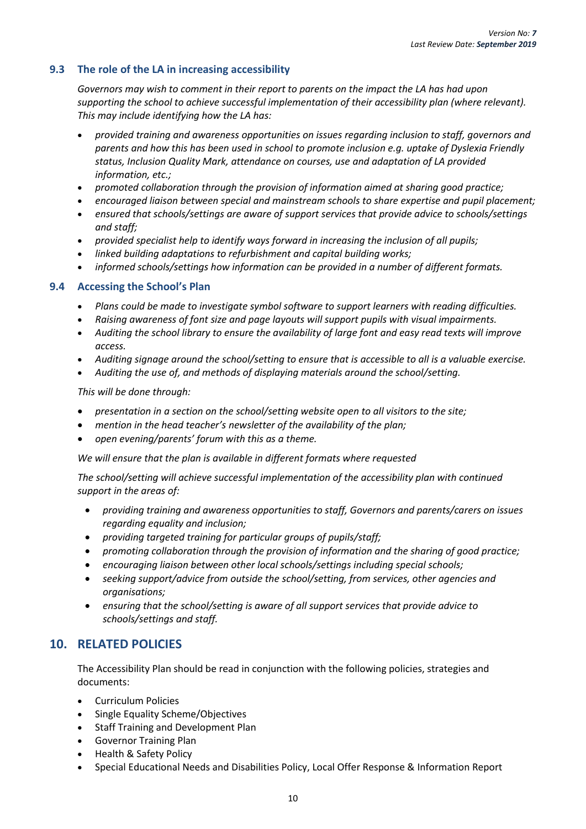## <span id="page-13-0"></span>**9.3 The role of the LA in increasing accessibility**

*Governors may wish to comment in their report to parents on the impact the LA has had upon supporting the school to achieve successful implementation of their accessibility plan (where relevant). This may include identifying how the LA has:*

- *provided training and awareness opportunities on issues regarding inclusion to staff, governors and parents and how this has been used in school to promote inclusion e.g. uptake of Dyslexia Friendly status, Inclusion Quality Mark, attendance on courses, use and adaptation of LA provided information, etc.;*
- *promoted collaboration through the provision of information aimed at sharing good practice;*
- *encouraged liaison between special and mainstream schools to share expertise and pupil placement;*
- *ensured that schools/settings are aware of support services that provide advice to schools/settings and staff;*
- *provided specialist help to identify ways forward in increasing the inclusion of all pupils;*
- *linked building adaptations to refurbishment and capital building works;*
- *informed schools/settings how information can be provided in a number of different formats.*

#### <span id="page-13-1"></span>**9.4 Accessing the School's Plan**

- *Plans could be made to investigate symbol software to support learners with reading difficulties.*
- *Raising awareness of font size and page layouts will support pupils with visual impairments.*
- *Auditing the school library to ensure the availability of large font and easy read texts will improve access.*
- *Auditing signage around the school/setting to ensure that is accessible to all is a valuable exercise.*
- *Auditing the use of, and methods of displaying materials around the school/setting.*

*This will be done through:* 

- *presentation in a section on the school/setting website open to all visitors to the site;*
- *mention in the head teacher's newsletter of the availability of the plan;*
- *open evening/parents' forum with this as a theme.*

*We will ensure that the plan is available in different formats where requested*

*The school/setting will achieve successful implementation of the accessibility plan with continued support in the areas of:*

- *providing training and awareness opportunities to staff, Governors and parents/carers on issues regarding equality and inclusion;*
- *providing targeted training for particular groups of pupils/staff;*
- *promoting collaboration through the provision of information and the sharing of good practice;*
- *encouraging liaison between other local schools/settings including special schools;*
- *seeking support/advice from outside the school/setting, from services, other agencies and organisations;*
- *ensuring that the school/setting is aware of all support services that provide advice to schools/settings and staff.*

## <span id="page-13-2"></span>**10. RELATED POLICIES**

The Accessibility Plan should be read in conjunction with the following policies, strategies and documents:

- Curriculum Policies
- Single Equality Scheme/Objectives
- Staff Training and Development Plan
- Governor Training Plan
- Health & Safety Policy
- Special Educational Needs and Disabilities Policy, Local Offer Response & Information Report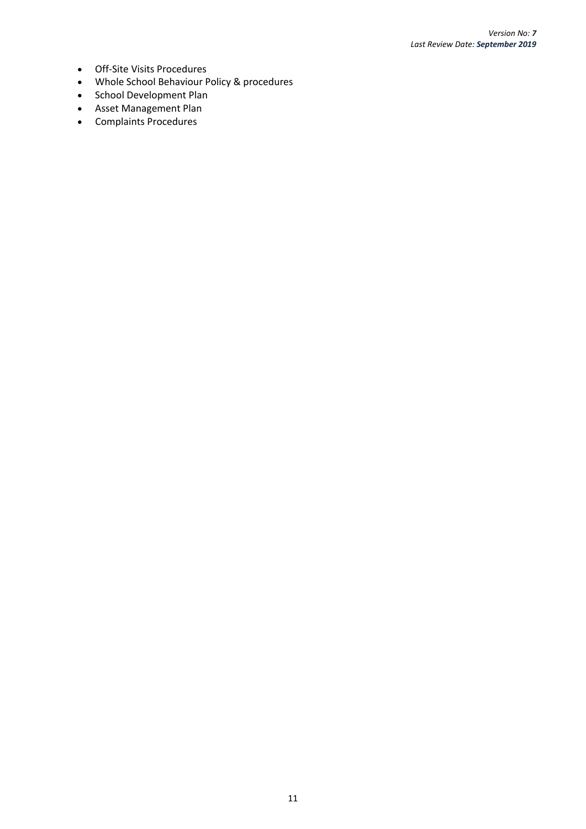- Off-Site Visits Procedures
- Whole School Behaviour Policy & procedures
- School Development Plan
- Asset Management Plan
- Complaints Procedures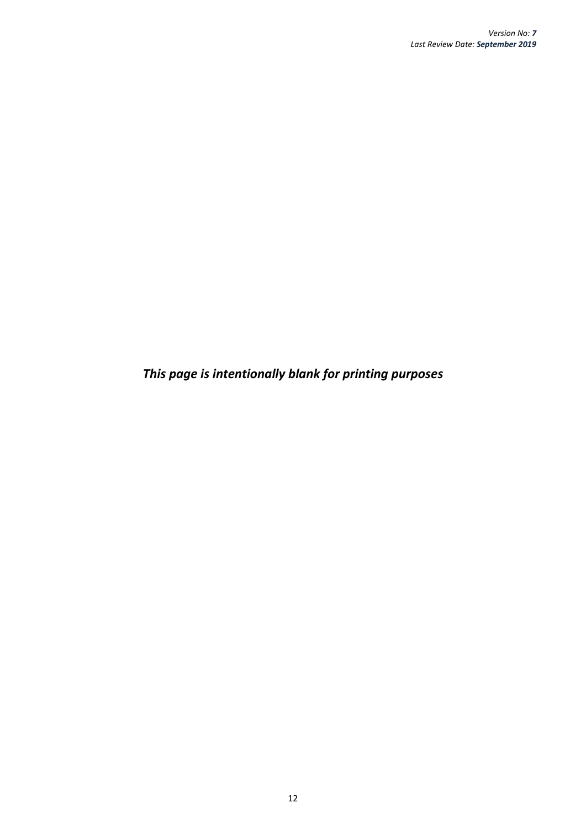*This page is intentionally blank for printing purposes*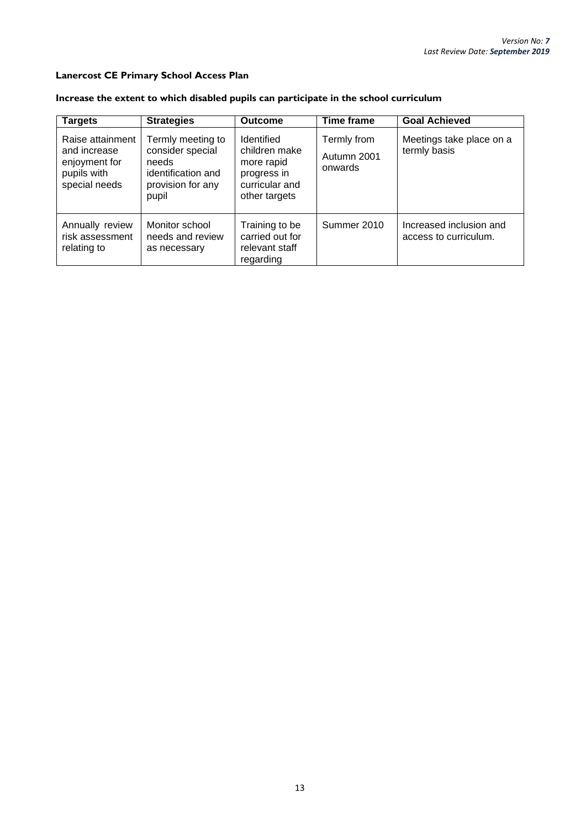#### **Lanercost CE Primary School Access Plan**

## **Increase the extent to which disabled pupils can participate in the school curriculum**

| <b>Targets</b>                                                                    | <b>Strategies</b>                                                                                  | <b>Outcome</b>                                                                              | <b>Time frame</b>                     | <b>Goal Achieved</b>                             |
|-----------------------------------------------------------------------------------|----------------------------------------------------------------------------------------------------|---------------------------------------------------------------------------------------------|---------------------------------------|--------------------------------------------------|
| Raise attainment<br>and increase<br>enjoyment for<br>pupils with<br>special needs | Termly meeting to<br>consider special<br>needs<br>identification and<br>provision for any<br>pupil | Identified<br>children make<br>more rapid<br>progress in<br>curricular and<br>other targets | Termly from<br>Autumn 2001<br>onwards | Meetings take place on a<br>termly basis         |
| Annually review<br>risk assessment<br>relating to                                 | Monitor school<br>needs and review<br>as necessary                                                 | Training to be<br>carried out for<br>relevant staff<br>regarding                            | Summer 2010                           | Increased inclusion and<br>access to curriculum. |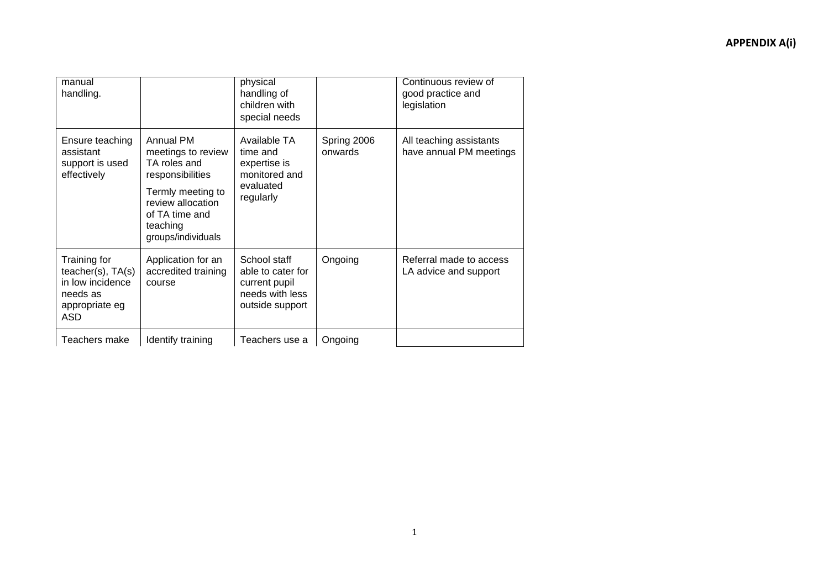| manual<br>handling.                                                                               |                                                                                                                                                                   | physical<br>handling of<br>children with<br>special needs                                |                        | Continuous review of<br>good practice and<br>legislation |
|---------------------------------------------------------------------------------------------------|-------------------------------------------------------------------------------------------------------------------------------------------------------------------|------------------------------------------------------------------------------------------|------------------------|----------------------------------------------------------|
| Ensure teaching<br>assistant<br>support is used<br>effectively                                    | Annual PM<br>meetings to review<br>TA roles and<br>responsibilities<br>Termly meeting to<br>review allocation<br>of TA time and<br>teaching<br>groups/individuals | Available TA<br>time and<br>expertise is<br>monitored and<br>evaluated<br>regularly      | Spring 2006<br>onwards | All teaching assistants<br>have annual PM meetings       |
| Training for<br>teacher(s), TA(s)<br>in low incidence<br>needs as<br>appropriate eg<br><b>ASD</b> | Application for an<br>accredited training<br>course                                                                                                               | School staff<br>able to cater for<br>current pupil<br>needs with less<br>outside support | Ongoing                | Referral made to access<br>LA advice and support         |
| Teachers make                                                                                     | Identify training                                                                                                                                                 | Teachers use a                                                                           | Ongoing                |                                                          |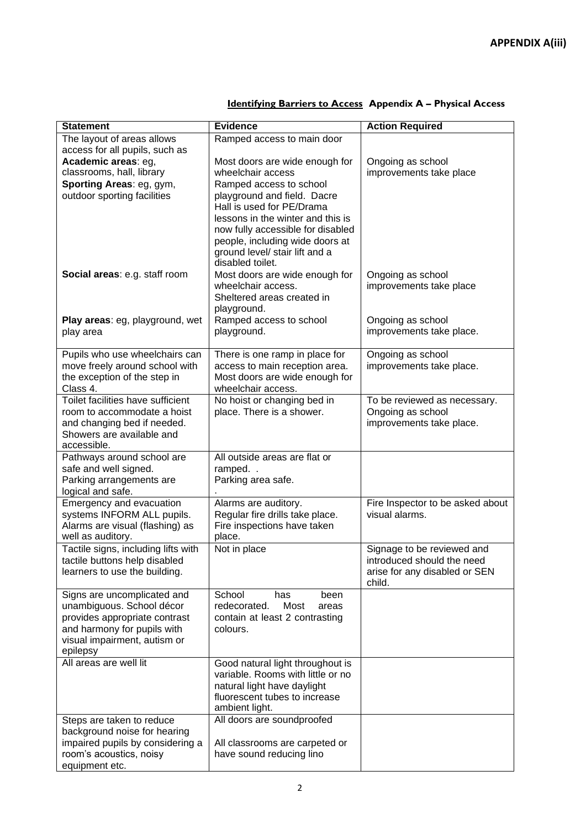| <b>Statement</b>                                              | <b>Evidence</b>                                                | <b>Action Required</b>           |
|---------------------------------------------------------------|----------------------------------------------------------------|----------------------------------|
| The layout of areas allows                                    | Ramped access to main door                                     |                                  |
| access for all pupils, such as                                |                                                                |                                  |
| Academic areas: eg,                                           | Most doors are wide enough for                                 | Ongoing as school                |
| classrooms, hall, library                                     | wheelchair access                                              | improvements take place          |
| Sporting Areas: eg, gym,                                      | Ramped access to school                                        |                                  |
| outdoor sporting facilities                                   | playground and field. Dacre                                    |                                  |
|                                                               | Hall is used for PE/Drama<br>lessons in the winter and this is |                                  |
|                                                               | now fully accessible for disabled                              |                                  |
|                                                               | people, including wide doors at                                |                                  |
|                                                               | ground level/ stair lift and a                                 |                                  |
|                                                               | disabled toilet.                                               |                                  |
| Social areas: e.g. staff room                                 | Most doors are wide enough for                                 | Ongoing as school                |
|                                                               | wheelchair access.                                             | improvements take place          |
|                                                               | Sheltered areas created in                                     |                                  |
|                                                               | playground.                                                    |                                  |
| Play areas: eg, playground, wet                               | Ramped access to school                                        | Ongoing as school                |
| play area                                                     | playground.                                                    | improvements take place.         |
|                                                               |                                                                |                                  |
| Pupils who use wheelchairs can                                | There is one ramp in place for                                 | Ongoing as school                |
| move freely around school with                                | access to main reception area.                                 | improvements take place.         |
| the exception of the step in<br>Class 4.                      | Most doors are wide enough for<br>wheelchair access.           |                                  |
| Toilet facilities have sufficient                             | No hoist or changing bed in                                    | To be reviewed as necessary.     |
| room to accommodate a hoist                                   | place. There is a shower.                                      | Ongoing as school                |
| and changing bed if needed.                                   |                                                                | improvements take place.         |
| Showers are available and                                     |                                                                |                                  |
| accessible.                                                   |                                                                |                                  |
| Pathways around school are                                    | All outside areas are flat or                                  |                                  |
| safe and well signed.                                         | ramped                                                         |                                  |
| Parking arrangements are                                      | Parking area safe.                                             |                                  |
| logical and safe.                                             |                                                                |                                  |
| Emergency and evacuation                                      | Alarms are auditory.                                           | Fire Inspector to be asked about |
| systems INFORM ALL pupils.<br>Alarms are visual (flashing) as | Regular fire drills take place.<br>Fire inspections have taken | visual alarms.                   |
| well as auditory.                                             | place.                                                         |                                  |
| Tactile signs, including lifts with                           | Not in place                                                   | Signage to be reviewed and       |
| tactile buttons help disabled                                 |                                                                | introduced should the need       |
| learners to use the building.                                 |                                                                | arise for any disabled or SEN    |
|                                                               |                                                                | child.                           |
| Signs are uncomplicated and                                   | School<br>been<br>has                                          |                                  |
| unambiguous. School décor                                     | redecorated.<br>Most<br>areas                                  |                                  |
| provides appropriate contrast                                 | contain at least 2 contrasting                                 |                                  |
| and harmony for pupils with                                   | colours.                                                       |                                  |
| visual impairment, autism or<br>epilepsy                      |                                                                |                                  |
| All areas are well lit                                        | Good natural light throughout is                               |                                  |
|                                                               | variable. Rooms with little or no                              |                                  |
|                                                               | natural light have daylight                                    |                                  |
|                                                               | fluorescent tubes to increase                                  |                                  |
|                                                               | ambient light.                                                 |                                  |
| Steps are taken to reduce                                     | All doors are soundproofed                                     |                                  |
| background noise for hearing                                  |                                                                |                                  |
| impaired pupils by considering a                              | All classrooms are carpeted or                                 |                                  |
| room's acoustics, noisy                                       | have sound reducing lino                                       |                                  |
| equipment etc.                                                |                                                                |                                  |

## **Identifying Barriers to Access Appendix A – Physical Access**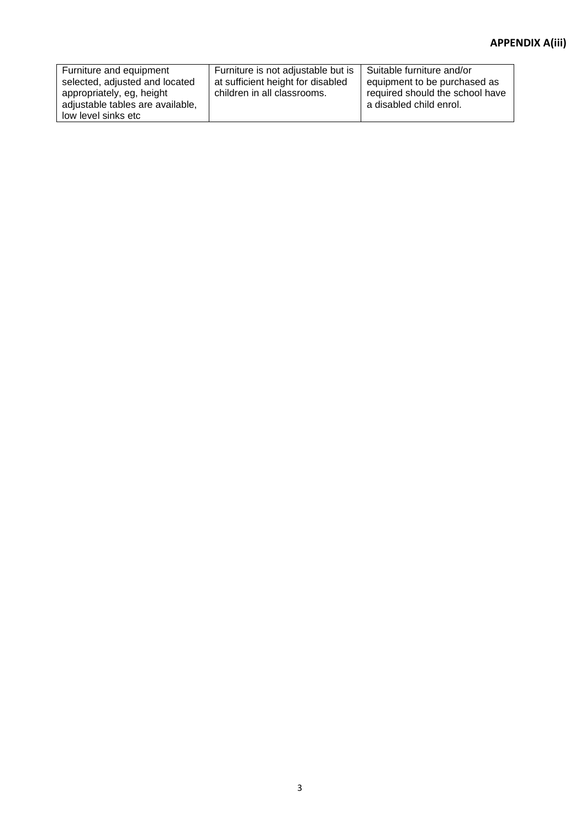## **APPENDIX A(iii)**

| Furniture and equipment<br>selected, adjusted and located<br>appropriately, eg, height<br>adjustable tables are available, | Furniture is not adjustable but is<br>at sufficient height for disabled<br>children in all classrooms. | Suitable furniture and/or<br>equipment to be purchased as<br>required should the school have<br>a disabled child enrol. |
|----------------------------------------------------------------------------------------------------------------------------|--------------------------------------------------------------------------------------------------------|-------------------------------------------------------------------------------------------------------------------------|
| low level sinks etc                                                                                                        |                                                                                                        |                                                                                                                         |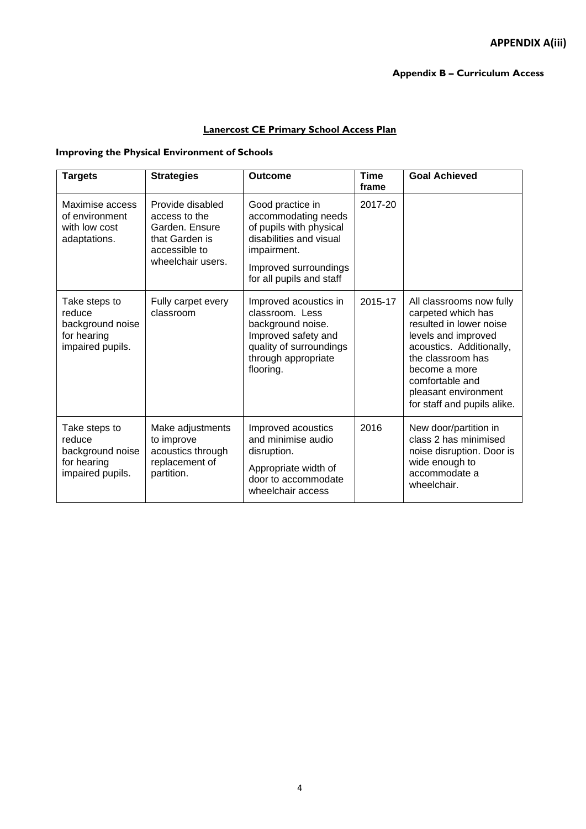## **Lanercost CE Primary School Access Plan**

#### **Improving the Physical Environment of Schools**

| <b>Targets</b>                                                                 | <b>Strategies</b>                                                                                           | <b>Outcome</b>                                                                                                                                                    | <b>Time</b><br>frame | <b>Goal Achieved</b>                                                                                                                                                                                                                         |
|--------------------------------------------------------------------------------|-------------------------------------------------------------------------------------------------------------|-------------------------------------------------------------------------------------------------------------------------------------------------------------------|----------------------|----------------------------------------------------------------------------------------------------------------------------------------------------------------------------------------------------------------------------------------------|
| Maximise access<br>of environment<br>with low cost<br>adaptations.             | Provide disabled<br>access to the<br>Garden. Ensure<br>that Garden is<br>accessible to<br>wheelchair users. | Good practice in<br>accommodating needs<br>of pupils with physical<br>disabilities and visual<br>impairment.<br>Improved surroundings<br>for all pupils and staff | 2017-20              |                                                                                                                                                                                                                                              |
| Take steps to<br>reduce<br>background noise<br>for hearing<br>impaired pupils. | Fully carpet every<br>classroom                                                                             | Improved acoustics in<br>classroom. Less<br>background noise.<br>Improved safety and<br>quality of surroundings<br>through appropriate<br>flooring.               | 2015-17              | All classrooms now fully<br>carpeted which has<br>resulted in lower noise<br>levels and improved<br>acoustics. Additionally,<br>the classroom has<br>become a more<br>comfortable and<br>pleasant environment<br>for staff and pupils alike. |
| Take steps to<br>reduce<br>background noise<br>for hearing<br>impaired pupils. | Make adjustments<br>to improve<br>acoustics through<br>replacement of<br>partition.                         | Improved acoustics<br>and minimise audio<br>disruption.<br>Appropriate width of<br>door to accommodate<br>wheelchair access                                       | 2016                 | New door/partition in<br>class 2 has minimised<br>noise disruption. Door is<br>wide enough to<br>accommodate a<br>wheelchair.                                                                                                                |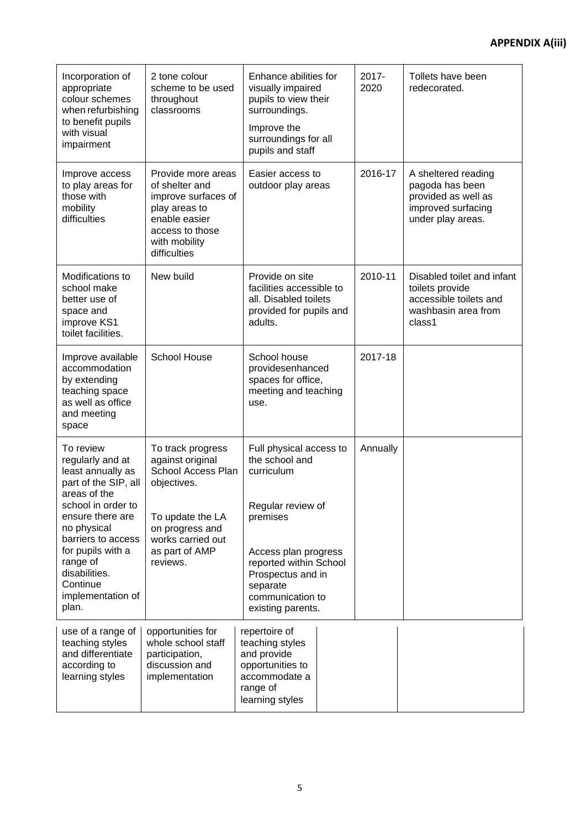# **APPENDIX A(iii)**

| Incorporation of<br>appropriate<br>colour schemes<br>when refurbishing<br>to benefit pupils<br>with visual<br>impairment                                                                                                                | 2 tone colour<br>scheme to be used<br>throughout<br>classrooms                                                                                                       | Enhance abilities for<br>visually impaired<br>pupils to view their<br>surroundings.<br>Improve the<br>surroundings for all<br>pupils and staff                  | 2017-<br>2020 | Tollets have been<br>redecorated.                                                                        |
|-----------------------------------------------------------------------------------------------------------------------------------------------------------------------------------------------------------------------------------------|----------------------------------------------------------------------------------------------------------------------------------------------------------------------|-----------------------------------------------------------------------------------------------------------------------------------------------------------------|---------------|----------------------------------------------------------------------------------------------------------|
| Improve access<br>to play areas for<br>those with<br>mobility<br>difficulties                                                                                                                                                           | Provide more areas<br>of shelter and<br>improve surfaces of<br>play areas to<br>enable easier<br>access to those<br>with mobility<br>difficulties                    | Easier access to<br>outdoor play areas                                                                                                                          | 2016-17       | A sheltered reading<br>pagoda has been<br>provided as well as<br>improved surfacing<br>under play areas. |
| Modifications to<br>school make<br>better use of<br>space and<br>improve KS1<br>toilet facilities.                                                                                                                                      | New build                                                                                                                                                            | Provide on site<br>facilities accessible to<br>all. Disabled toilets<br>provided for pupils and<br>adults.                                                      | 2010-11       | Disabled toilet and infant<br>toilets provide<br>accessible toilets and<br>washbasin area from<br>class1 |
| Improve available<br>accommodation<br>by extending<br>teaching space<br>as well as office<br>and meeting<br>space                                                                                                                       | <b>School House</b>                                                                                                                                                  | School house<br>providesenhanced<br>spaces for office,<br>meeting and teaching<br>use.                                                                          | 2017-18       |                                                                                                          |
| To review<br>regularly and at<br>least annually as<br>part of the SIP, all<br>areas of the<br>school in order to<br>ensure there are<br>no physical<br>barriers to access<br>for pupils with a<br>range of<br>disabilities.<br>Continue | To track progress<br>against original<br>School Access Plan<br>objectives.<br>To update the LA<br>on progress and<br>works carried out<br>as part of AMP<br>reviews. | Full physical access to<br>the school and<br>curriculum<br>Regular review of<br>premises<br>Access plan progress<br>reported within School<br>Prospectus and in | Annually      |                                                                                                          |
| implementation of<br>plan.                                                                                                                                                                                                              |                                                                                                                                                                      | separate<br>communication to<br>existing parents.                                                                                                               |               |                                                                                                          |
| use of a range of<br>teaching styles<br>and differentiate<br>according to<br>learning styles                                                                                                                                            | opportunities for<br>whole school staff<br>participation,<br>discussion and<br>implementation                                                                        | repertoire of<br>teaching styles<br>and provide<br>opportunities to<br>accommodate a<br>range of<br>learning styles                                             |               |                                                                                                          |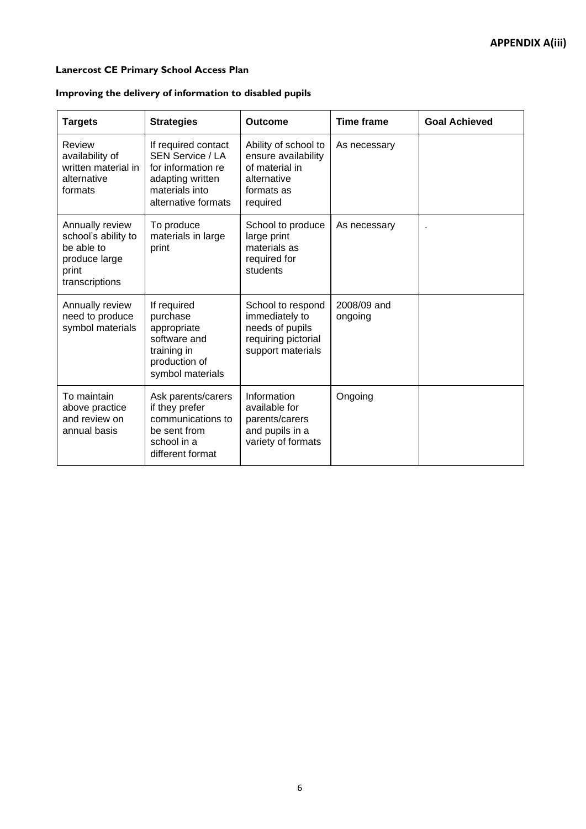# **APPENDIX A(iii)**

#### **Lanercost CE Primary School Access Plan**

#### **Improving the delivery of information to disabled pupils**

| <b>Targets</b>                                                                                   | <b>Strategies</b>                                                                                                                 | <b>Outcome</b>                                                                                         | <b>Time frame</b>      | <b>Goal Achieved</b> |
|--------------------------------------------------------------------------------------------------|-----------------------------------------------------------------------------------------------------------------------------------|--------------------------------------------------------------------------------------------------------|------------------------|----------------------|
| Review<br>availability of<br>written material in<br>alternative<br>formats                       | If required contact<br><b>SEN Service / LA</b><br>for information re<br>adapting written<br>materials into<br>alternative formats | Ability of school to<br>ensure availability<br>of material in<br>alternative<br>formats as<br>required | As necessary           |                      |
| Annually review<br>school's ability to<br>be able to<br>produce large<br>print<br>transcriptions | To produce<br>materials in large<br>print                                                                                         | School to produce<br>large print<br>materials as<br>required for<br>students                           | As necessary           |                      |
| Annually review<br>need to produce<br>symbol materials                                           | If required<br>purchase<br>appropriate<br>software and<br>training in<br>production of<br>symbol materials                        | School to respond<br>immediately to<br>needs of pupils<br>requiring pictorial<br>support materials     | 2008/09 and<br>ongoing |                      |
| To maintain<br>above practice<br>and review on<br>annual basis                                   | Ask parents/carers<br>if they prefer<br>communications to<br>be sent from<br>school in a<br>different format                      | Information<br>available for<br>parents/carers<br>and pupils in a<br>variety of formats                | Ongoing                |                      |